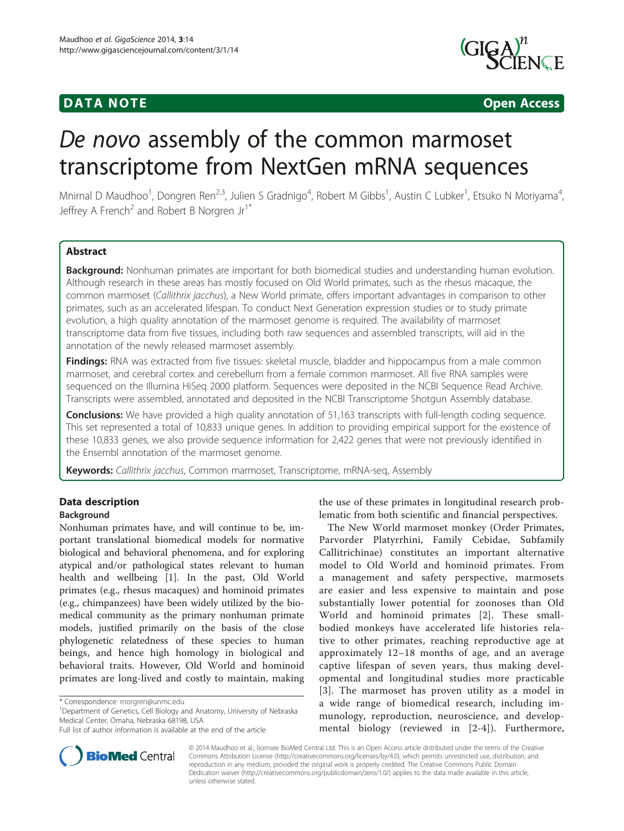## **DATA NOTE DATA NOTE** *DATA NOTE*



# De novo assembly of the common marmoset transcriptome from NextGen mRNA sequences

Mnirnal D Maudhoo<sup>1</sup>, Dongren Ren<sup>2,3</sup>, Julien S Gradnigo<sup>4</sup>, Robert M Gibbs<sup>1</sup>, Austin C Lubker<sup>1</sup>, Etsuko N Moriyama<sup>4</sup> , Jeffrey A French<sup>2</sup> and Robert B Norgren  $Jr^1$ <sup>\*</sup>

## **Abstract**

Background: Nonhuman primates are important for both biomedical studies and understanding human evolution. Although research in these areas has mostly focused on Old World primates, such as the rhesus macaque, the common marmoset (Callithrix jacchus), a New World primate, offers important advantages in comparison to other primates, such as an accelerated lifespan. To conduct Next Generation expression studies or to study primate evolution, a high quality annotation of the marmoset genome is required. The availability of marmoset transcriptome data from five tissues, including both raw sequences and assembled transcripts, will aid in the annotation of the newly released marmoset assembly.

Findings: RNA was extracted from five tissues: skeletal muscle, bladder and hippocampus from a male common marmoset, and cerebral cortex and cerebellum from a female common marmoset. All five RNA samples were sequenced on the Illumina HiSeq 2000 platform. Sequences were deposited in the NCBI Sequence Read Archive. Transcripts were assembled, annotated and deposited in the NCBI Transcriptome Shotgun Assembly database.

**Conclusions:** We have provided a high quality annotation of 51,163 transcripts with full-length coding sequence. This set represented a total of 10,833 unique genes. In addition to providing empirical support for the existence of these 10,833 genes, we also provide sequence information for 2,422 genes that were not previously identified in the Ensembl annotation of the marmoset genome.

Keywords: Callithrix jacchus, Common marmoset, Transcriptome, mRNA-seq, Assembly

## Data description

## Background

Nonhuman primates have, and will continue to be, important translational biomedical models for normative biological and behavioral phenomena, and for exploring atypical and/or pathological states relevant to human health and wellbeing [[1\]](#page-2-0). In the past, Old World primates (e.g., rhesus macaques) and hominoid primates (e.g., chimpanzees) have been widely utilized by the biomedical community as the primary nonhuman primate models, justified primarily on the basis of the close phylogenetic relatedness of these species to human beings, and hence high homology in biological and behavioral traits. However, Old World and hominoid primates are long-lived and costly to maintain, making

<sup>1</sup>Department of Genetics, Cell Biology and Anatomy, University of Nebraska Medical Center, Omaha, Nebraska 68198, USA



The New World marmoset monkey (Order Primates, Parvorder Platyrrhini, Family Cebidae, Subfamily Callitrichinae) constitutes an important alternative model to Old World and hominoid primates. From a management and safety perspective, marmosets are easier and less expensive to maintain and pose substantially lower potential for zoonoses than Old World and hominoid primates [[2\]](#page-2-0). These smallbodied monkeys have accelerated life histories relative to other primates, reaching reproductive age at approximately 12–18 months of age, and an average captive lifespan of seven years, thus making developmental and longitudinal studies more practicable [[3](#page-3-0)]. The marmoset has proven utility as a model in a wide range of biomedical research, including immunology, reproduction, neuroscience, and developmental biology (reviewed in [[2-](#page-2-0)[4\]](#page-3-0)). Furthermore,



© 2014 Maudhoo et al.; licensee BioMed Central Ltd. This is an Open Access article distributed under the terms of the Creative Commons Attribution License [\(http://creativecommons.org/licenses/by/4.0\)](http://creativecommons.org/licenses/by/4.0), which permits unrestricted use, distribution, and reproduction in any medium, provided the original work is properly credited. The Creative Commons Public Domain Dedication waiver [\(http://creativecommons.org/publicdomain/zero/1.0/](http://creativecommons.org/publicdomain/zero/1.0/)) applies to the data made available in this article, unless otherwise stated.

<sup>\*</sup> Correspondence: [rnorgren@unmc.edu](mailto:rnorgren@unmc.edu) <sup>1</sup>

Full list of author information is available at the end of the article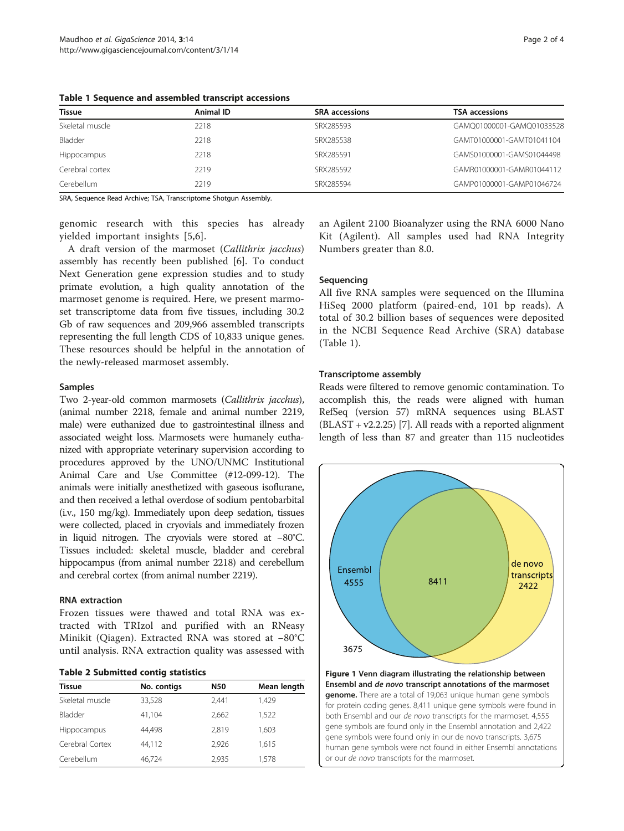| Tissue             | Animal ID | <b>SRA</b> accessions | <b>TSA accessions</b>     |
|--------------------|-----------|-----------------------|---------------------------|
| Skeletal muscle    | 2218      | SRX285593             | GAMQ01000001-GAMQ01033528 |
| Bladder            | 2218      | SRX285538             | GAMT01000001-GAMT01041104 |
| <b>Hippocampus</b> | 2218      | SRX285591             | GAMS01000001-GAMS01044498 |
| Cerebral cortex    | 2219      | SRX285592             | GAMR01000001-GAMR01044112 |
| Cerebellum         | 2219      | SRX285594             | GAMP01000001-GAMP01046724 |

<span id="page-1-0"></span>Table 1 Sequence and assembled transcript accessions

SRA, Sequence Read Archive; TSA, Transcriptome Shotgun Assembly.

genomic research with this species has already yielded important insights [[5,6](#page-3-0)].

A draft version of the marmoset (Callithrix jacchus) assembly has recently been published [[6\]](#page-3-0). To conduct Next Generation gene expression studies and to study primate evolution, a high quality annotation of the marmoset genome is required. Here, we present marmoset transcriptome data from five tissues, including 30.2 Gb of raw sequences and 209,966 assembled transcripts representing the full length CDS of 10,833 unique genes. These resources should be helpful in the annotation of the newly-released marmoset assembly.

## Samples

Two 2-year-old common marmosets (Callithrix jacchus), (animal number 2218, female and animal number 2219, male) were euthanized due to gastrointestinal illness and associated weight loss. Marmosets were humanely euthanized with appropriate veterinary supervision according to procedures approved by the UNO/UNMC Institutional Animal Care and Use Committee (#12-099-12). The animals were initially anesthetized with gaseous isoflurane, and then received a lethal overdose of sodium pentobarbital (i.v., 150 mg/kg). Immediately upon deep sedation, tissues were collected, placed in cryovials and immediately frozen in liquid nitrogen. The cryovials were stored at −80°C. Tissues included: skeletal muscle, bladder and cerebral hippocampus (from animal number 2218) and cerebellum and cerebral cortex (from animal number 2219).

## RNA extraction

Frozen tissues were thawed and total RNA was extracted with TRIzol and purified with an RNeasy Minikit (Qiagen). Extracted RNA was stored at −80°C until analysis. RNA extraction quality was assessed with

|  |  | <b>Table 2 Submitted contig statistics</b> |  |  |
|--|--|--------------------------------------------|--|--|
|--|--|--------------------------------------------|--|--|

| <b>Tissue</b>   | No. contigs | N50   | Mean length |
|-----------------|-------------|-------|-------------|
| Skeletal muscle | 33,528      | 2.441 | 1,429       |
| Bladder         | 41,104      | 2.662 | 1,522       |
| Hippocampus     | 44.498      | 2.819 | 1,603       |
| Cerebral Cortex | 44.112      | 2.926 | 1,615       |
| Cerebellum      | 46,724      | 2,935 | 1.578       |
|                 |             |       |             |

an Agilent 2100 Bioanalyzer using the RNA 6000 Nano Kit (Agilent). All samples used had RNA Integrity Numbers greater than 8.0.

## Sequencing

All five RNA samples were sequenced on the Illumina HiSeq 2000 platform (paired-end, 101 bp reads). A total of 30.2 billion bases of sequences were deposited in the NCBI Sequence Read Archive (SRA) database (Table 1).

## Transcriptome assembly

Reads were filtered to remove genomic contamination. To accomplish this, the reads were aligned with human RefSeq (version 57) mRNA sequences using BLAST  $(BLAST + v2.2.25)$  [[7\]](#page-3-0). All reads with a reported alignment length of less than 87 and greater than 115 nucleotides



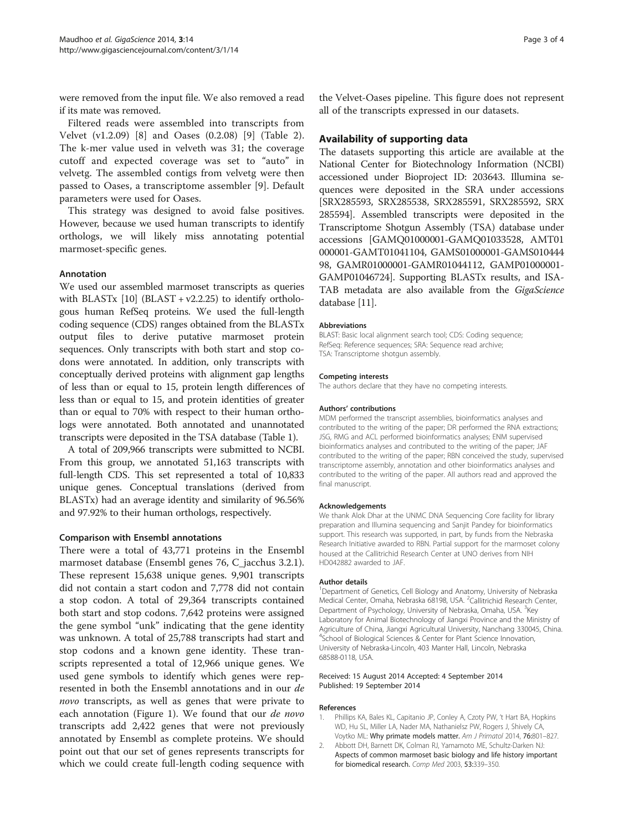<span id="page-2-0"></span>were removed from the input file. We also removed a read if its mate was removed.

Filtered reads were assembled into transcripts from Velvet (v1.2.09) [\[8](#page-3-0)] and Oases (0.2.08) [[9\]](#page-3-0) (Table [2](#page-1-0)). The k-mer value used in velveth was 31; the coverage cutoff and expected coverage was set to "auto" in velvetg. The assembled contigs from velvetg were then passed to Oases, a transcriptome assembler [\[9](#page-3-0)]. Default parameters were used for Oases.

This strategy was designed to avoid false positives. However, because we used human transcripts to identify orthologs, we will likely miss annotating potential marmoset-specific genes.

## Annotation

We used our assembled marmoset transcripts as queries with BLASTx  $[10]$  $[10]$  $[10]$  (BLAST + v2.2.25) to identify orthologous human RefSeq proteins. We used the full-length coding sequence (CDS) ranges obtained from the BLASTx output files to derive putative marmoset protein sequences. Only transcripts with both start and stop codons were annotated. In addition, only transcripts with conceptually derived proteins with alignment gap lengths of less than or equal to 15, protein length differences of less than or equal to 15, and protein identities of greater than or equal to 70% with respect to their human orthologs were annotated. Both annotated and unannotated transcripts were deposited in the TSA database (Table [1](#page-1-0)).

A total of 209,966 transcripts were submitted to NCBI. From this group, we annotated 51,163 transcripts with full-length CDS. This set represented a total of 10,833 unique genes. Conceptual translations (derived from BLASTx) had an average identity and similarity of 96.56% and 97.92% to their human orthologs, respectively.

## Comparison with Ensembl annotations

There were a total of 43,771 proteins in the Ensembl marmoset database (Ensembl genes 76, C\_jacchus 3.2.1). These represent 15,638 unique genes. 9,901 transcripts did not contain a start codon and 7,778 did not contain a stop codon. A total of 29,364 transcripts contained both start and stop codons. 7,642 proteins were assigned the gene symbol "unk" indicating that the gene identity was unknown. A total of 25,788 transcripts had start and stop codons and a known gene identity. These transcripts represented a total of 12,966 unique genes. We used gene symbols to identify which genes were represented in both the Ensembl annotations and in our de novo transcripts, as well as genes that were private to each annotation (Figure [1\)](#page-1-0). We found that our *de novo* transcripts add 2,422 genes that were not previously annotated by Ensembl as complete proteins. We should point out that our set of genes represents transcripts for which we could create full-length coding sequence with the Velvet-Oases pipeline. This figure does not represent all of the transcripts expressed in our datasets.

## Availability of supporting data

The datasets supporting this article are available at the National Center for Biotechnology Information (NCBI) accessioned under Bioproject ID: 203643. Illumina sequences were deposited in the SRA under accessions [SRX285593, SRX285538, SRX285591, SRX285592, SRX 285594]. Assembled transcripts were deposited in the Transcriptome Shotgun Assembly (TSA) database under accessions [GAMQ01000001-GAMQ01033528, AMT01 000001-GAMT01041104, GAMS01000001-GAMS010444 98, GAMR01000001-GAMR01044112, GAMP01000001- GAMP01046724]. Supporting BLASTx results, and ISA-TAB metadata are also available from the GigaScience database [[11](#page-3-0)].

#### Abbreviations

BLAST: Basic local alignment search tool; CDS: Coding sequence; RefSeq: Reference sequences; SRA: Sequence read archive; TSA: Transcriptome shotgun assembly.

#### Competing interests

The authors declare that they have no competing interests.

#### Authors' contributions

MDM performed the transcript assemblies, bioinformatics analyses and contributed to the writing of the paper; DR performed the RNA extractions; JSG, RMG and ACL performed bioinformatics analyses; ENM supervised bioinformatics analyses and contributed to the writing of the paper; JAF contributed to the writing of the paper; RBN conceived the study, supervised transcriptome assembly, annotation and other bioinformatics analyses and contributed to the writing of the paper. All authors read and approved the final manuscript.

#### Acknowledgements

We thank Alok Dhar at the UNMC DNA Sequencing Core facility for library preparation and Illumina sequencing and Sanjit Pandey for bioinformatics support. This research was supported, in part, by funds from the Nebraska Research Initiative awarded to RBN. Partial support for the marmoset colony housed at the Callitrichid Research Center at UNO derives from NIH HD042882 awarded to JAF.

#### Author details

<sup>1</sup>Department of Genetics, Cell Biology and Anatomy, University of Nebraska Medical Center, Omaha, Nebraska 68198, USA. <sup>2</sup>Callitrichid Research Center Department of Psychology, University of Nebraska, Omaha, USA. <sup>3</sup>Key Laboratory for Animal Biotechnology of Jiangxi Province and the Ministry of Agriculture of China, Jiangxi Agricultural University, Nanchang 330045, China. 4 School of Biological Sciences & Center for Plant Science Innovation, University of Nebraska-Lincoln, 403 Manter Hall, Lincoln, Nebraska 68588-0118, USA.

#### Received: 15 August 2014 Accepted: 4 September 2014 Published: 19 September 2014

#### References

- 1. Phillips KA, Bales KL, Capitanio JP, Conley A, Czoty PW, 't Hart BA, Hopkins WD, Hu SL, Miller LA, Nader MA, Nathanielsz PW, Rogers J, Shively CA, Voytko ML: Why primate models matter. Am J Primatol 2014, 76:801-827.
- 2. Abbott DH, Barnett DK, Colman RJ, Yamamoto ME, Schultz-Darken NJ: Aspects of common marmoset basic biology and life history important for biomedical research. Comp Med 2003, 53:339–350.